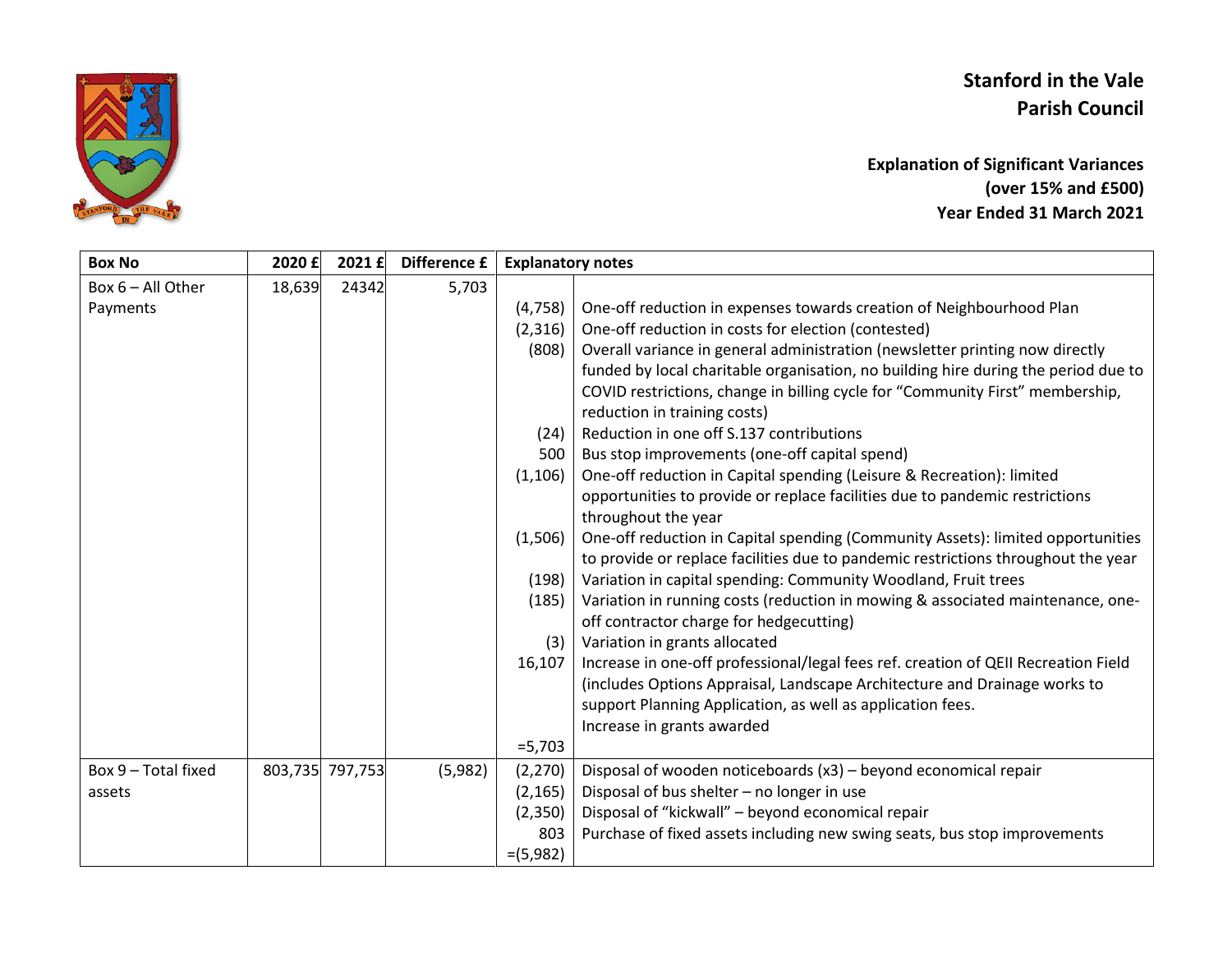## **Stanford in the Vale Parish Council**



**Explanation of Significant Variances (over 15% and £500) Year Ended 31 March 2021**

| <b>Box No</b>       | 2020 £ | 2021 £          | Difference £ | <b>Explanatory notes</b> |                                                                                    |
|---------------------|--------|-----------------|--------------|--------------------------|------------------------------------------------------------------------------------|
| Box $6 - All Other$ | 18,639 | 24342           | 5,703        |                          |                                                                                    |
| Payments            |        |                 |              | (4, 758)                 | One-off reduction in expenses towards creation of Neighbourhood Plan               |
|                     |        |                 |              | (2,316)                  | One-off reduction in costs for election (contested)                                |
|                     |        |                 |              | (808)                    | Overall variance in general administration (newsletter printing now directly       |
|                     |        |                 |              |                          | funded by local charitable organisation, no building hire during the period due to |
|                     |        |                 |              |                          | COVID restrictions, change in billing cycle for "Community First" membership,      |
|                     |        |                 |              |                          | reduction in training costs)                                                       |
|                     |        |                 |              | (24)                     | Reduction in one off S.137 contributions                                           |
|                     |        |                 |              | 500                      | Bus stop improvements (one-off capital spend)                                      |
|                     |        |                 |              | (1, 106)                 | One-off reduction in Capital spending (Leisure & Recreation): limited              |
|                     |        |                 |              |                          | opportunities to provide or replace facilities due to pandemic restrictions        |
|                     |        |                 |              |                          | throughout the year                                                                |
|                     |        |                 |              | (1,506)                  | One-off reduction in Capital spending (Community Assets): limited opportunities    |
|                     |        |                 |              |                          | to provide or replace facilities due to pandemic restrictions throughout the year  |
|                     |        |                 |              | (198)                    | Variation in capital spending: Community Woodland, Fruit trees                     |
|                     |        |                 |              | (185)                    | Variation in running costs (reduction in mowing & associated maintenance, one-     |
|                     |        |                 |              |                          | off contractor charge for hedgecutting)                                            |
|                     |        |                 |              | (3)                      | Variation in grants allocated                                                      |
|                     |        |                 |              | 16,107                   | Increase in one-off professional/legal fees ref. creation of QEII Recreation Field |
|                     |        |                 |              |                          | (includes Options Appraisal, Landscape Architecture and Drainage works to          |
|                     |        |                 |              |                          | support Planning Application, as well as application fees.                         |
|                     |        |                 |              |                          | Increase in grants awarded                                                         |
|                     |        |                 |              | $= 5,703$                |                                                                                    |
| Box 9 - Total fixed |        | 803,735 797,753 | (5,982)      | (2, 270)                 | Disposal of wooden noticeboards (x3) - beyond economical repair                    |
| assets              |        |                 |              | (2, 165)                 | Disposal of bus shelter - no longer in use                                         |
|                     |        |                 |              | (2,350)                  | Disposal of "kickwall" - beyond economical repair                                  |
|                     |        |                 |              | 803                      | Purchase of fixed assets including new swing seats, bus stop improvements          |
|                     |        |                 |              | $=(5,982)$               |                                                                                    |